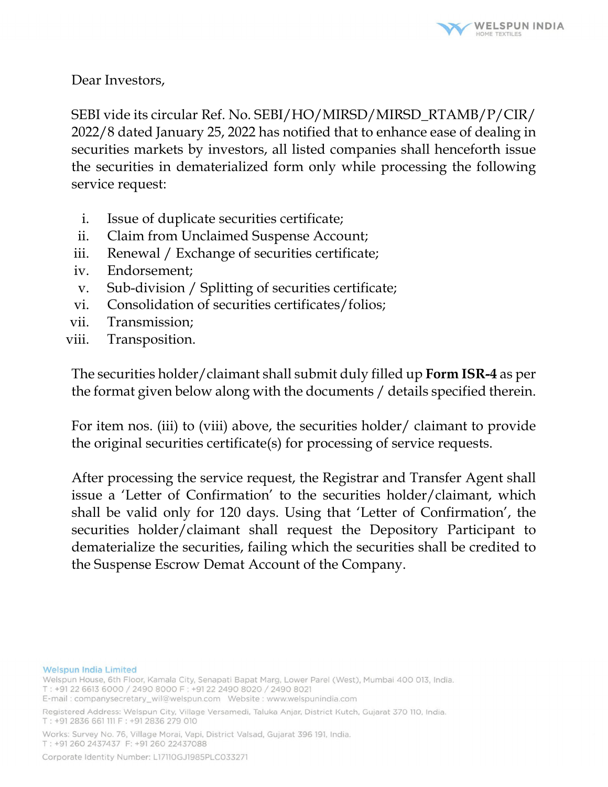

Dear Investors,

SEBI vide its circular Ref. No. SEBI/HO/MIRSD/MIRSD\_RTAMB/P/CIR/ 2022/8 dated January 25, 2022 has notified that to enhance ease of dealing in securities markets by investors, all listed companies shall henceforth issue the securities in dematerialized form only while processing the following service request:

- i. Issue of duplicate securities certificate;
- ii. Claim from Unclaimed Suspense Account;
- iii. Renewal / Exchange of securities certificate;
- iv. Endorsement;
- v. Sub-division / Splitting of securities certificate;
- vi. Consolidation of securities certificates/folios;
- vii. Transmission;
- viii. Transposition.

The securities holder/claimant shall submit duly filled up **Form ISR-4** as per the format given below along with the documents / details specified therein.

For item nos. (iii) to (viii) above, the securities holder/ claimant to provide the original securities certificate(s) for processing of service requests.

After processing the service request, the Registrar and Transfer Agent shall issue a 'Letter of Confirmation' to the securities holder/claimant, which shall be valid only for 120 days. Using that 'Letter of Confirmation', the securities holder/claimant shall request the Depository Participant to dematerialize the securities, failing which the securities shall be credited to the Suspense Escrow Demat Account of the Company.

#### **Welspun India Limited**

Welspun House, 6th Floor, Kamala City, Senapati Bapat Marg, Lower Parel (West), Mumbai 400 013, India. T: +91 22 6613 6000 / 2490 8000 F: +91 22 2490 8020 / 2490 8021

Works: Survey No. 76, Village Morai, Vapi, District Valsad, Gujarat 396 191, India. T: +91 260 2437437 F: +91 260 22437088

E-mail: companysecretary\_wil@welspun.com Vebsite: www.welspunindia.com

Registered Address: Welspun City, Village Versamedi, Taluka Anjar, District Kutch, Gujarat 370 110, India. T: +91 2836 661 111 F: +91 2836 279 010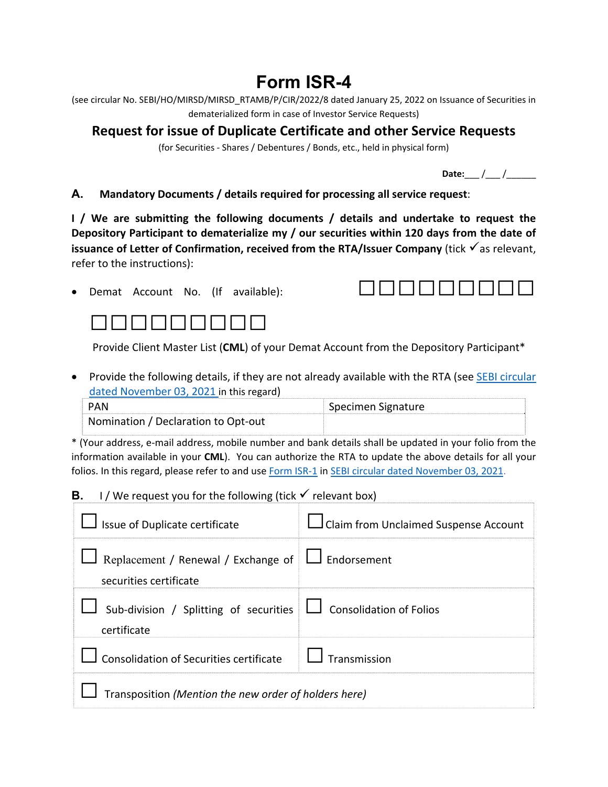# **Form ISR-4**

|                                                           | (see circular No. SEBI/HO/MIRSD/MIRSD RTAMB/P/CIR/2022/8 dated January 25, 2022 on Issuance of Securities in |  |  |  |
|-----------------------------------------------------------|--------------------------------------------------------------------------------------------------------------|--|--|--|
| dematerialized form in case of Investor Service Requests) |                                                                                                              |  |  |  |

## **Request for issue of Duplicate Certificate and other Service Requests**

(for Securities ‐ Shares / Debentures / Bonds, etc., held in physical form)

**Date:**\_\_\_ /\_\_\_ /\_\_\_\_\_\_

#### **A. Mandatory Documents / details required for processing all service request**:

**I / We are submitting the following documents / details and undertake to request the Depository Participant to dematerialize my / our securities within 120 days from the date of issuance of Letter of Confirmation, received from the RTA/Issuer Company (tick √as relevant,** refer to the instructions):





Provide Client Master List (**CML**) of your Demat Account from the Depository Participant\*

• Provide the following details, if they are not already available with the RTA (see **SEBI circular** dated November 03, 2021 in this regard)

| <b>PAN</b>                          | Specimen Signature |
|-------------------------------------|--------------------|
| Nomination / Declaration to Opt-out |                    |

\* (Your address, e‐mail address, mobile number and bank details shall be updated in your folio from the information available in your **CML**). You can authorize the RTA to update the above details for all your folios. In this regard, please refer to and use Form ISR-1 in SEBI circular dated November 03, 2021.

#### **B. I** / We request you for the following (tick  $\checkmark$  relevant box)

| Issue of Duplicate certificate                                                       | Claim from Unclaimed Suspense Account |  |
|--------------------------------------------------------------------------------------|---------------------------------------|--|
| Replacement / Renewal / Exchange of $\Box$ Endorsement<br>securities certificate     |                                       |  |
| Sub-division / Splitting of securities $\Box$ Consolidation of Folios<br>certificate |                                       |  |
| Consolidation of Securities certificate $\Box$                                       | Transmission                          |  |
| Transposition (Mention the new order of holders here)                                |                                       |  |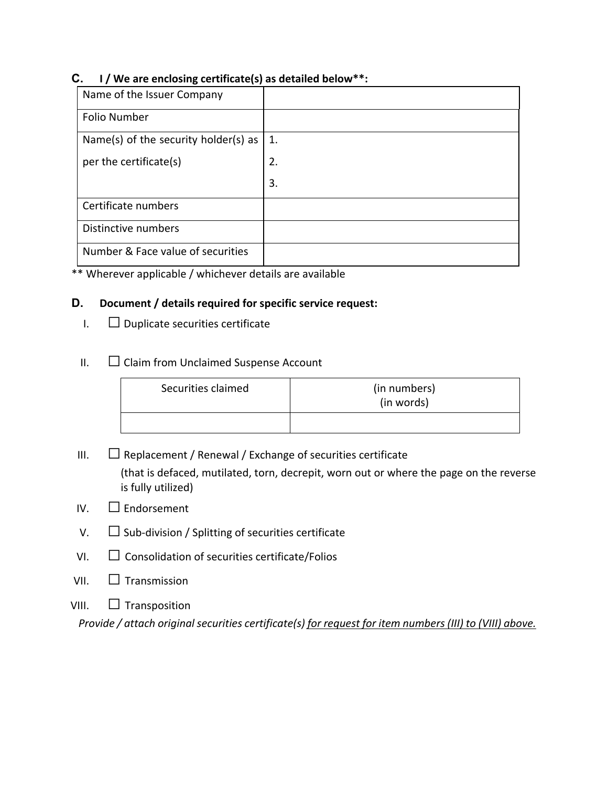#### **C. I / We are enclosing certificate(s) as detailed below\*\*:**

| Name of the Issuer Company           |    |
|--------------------------------------|----|
| Folio Number                         |    |
| Name(s) of the security holder(s) as | 1. |
| per the certificate(s)               | 2. |
|                                      | 3. |
| Certificate numbers                  |    |
| Distinctive numbers                  |    |
| Number & Face value of securities    |    |

\*\* Wherever applicable / whichever details are available

#### **D. Document / details required for specific service request:**

 $\Box$  Duplicate securities certificate

### II. Claim from Unclaimed Suspense Account

| Securities claimed | (in numbers)<br>(in words) |
|--------------------|----------------------------|
|                    |                            |

- $II.$   $\Box$  Replacement / Renewal / Exchange of securities certificate (that is defaced, mutilated, torn, decrepit, worn out or where the page on the reverse is fully utilized)
- IV.  $\Box$  Endorsement
- V.  $\Box$  Sub-division / Splitting of securities certificate
- $VI.$   $\Box$  Consolidation of securities certificate/Folios
- $VII.$   $\Box$  Transmission
- VIII.  $\Box$  Transposition

*Provide / attach original securities certificate(s) for request for item numbers (III) to (VIII) above.*